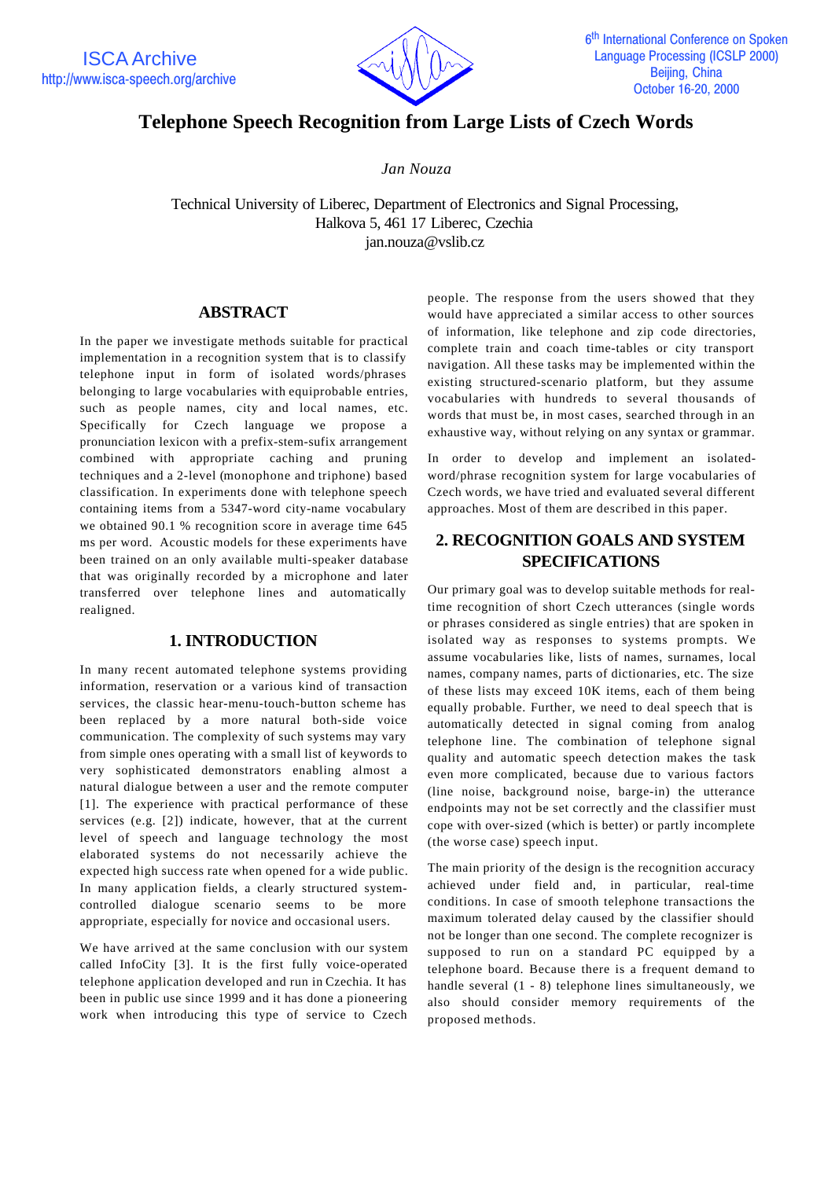

# **Telephone Speech Recognition from Large Lists of Czech Words**

*Jan Nouza*

Technical University of Liberec, Department of Electronics and Signal Processing, Halkova 5, 461 17 Liberec, Czechia jan.nouza@vslib.cz

## **ABSTRACT**

In the paper we investigate methods suitable for practical implementation in a recognition system that is to classify telephone input in form of isolated words/phrases belonging to large vocabularies with equiprobable entries, such as people names, city and local names, etc. Specifically for Czech language we propose a pronunciation lexicon with a prefix-stem-sufix arrangement combined with appropriate caching and pruning techniques and a 2-level (monophone and triphone) based classification. In experiments done with telephone speech containing items from a 5347-word city-name vocabulary we obtained 90.1 % recognition score in average time 645 ms per word. Acoustic models for these experiments have been trained on an only available multi-speaker database that was originally recorded by a microphone and later transferred over telephone lines and automatically realigned.

## **1. INTRODUCTION**

In many recent automated telephone systems providing information, reservation or a various kind of transaction services, the classic hear-menu-touch-button scheme has been replaced by a more natural both-side voice communication. The complexity of such systems may vary from simple ones operating with a small list of keywords to very sophisticated demonstrators enabling almost a natural dialogue between a user and the remote computer [1]. The experience with practical performance of these services (e.g. [2]) indicate, however, that at the current level of speech and language technology the most elaborated systems do not necessarily achieve the expected high success rate when opened for a wide public. In many application fields, a clearly structured systemcontrolled dialogue scenario seems to be more appropriate, especially for novice and occasional users.

We have arrived at the same conclusion with our system called InfoCity [3]. It is the first fully voice-operated telephone application developed and run in Czechia. It has been in public use since 1999 and it has done a pioneering work when introducing this type of service to Czech

people. The response from the users showed that they would have appreciated a similar access to other sources of information, like telephone and zip code directories, complete train and coach time-tables or city transport navigation. All these tasks may be implemented within the existing structured-scenario platform, but they assume vocabularies with hundreds to several thousands of words that must be, in most cases, searched through in an exhaustive way, without relying on any syntax or grammar.

In order to develop and implement an isolatedword/phrase recognition system for large vocabularies of Czech words, we have tried and evaluated several different approaches. Most of them are described in this paper.

## **2. RECOGNITION GOALS AND SYSTEM SPECIFICATIONS**

Our primary goal was to develop suitable methods for realtime recognition of short Czech utterances (single words or phrases considered as single entries) that are spoken in isolated way as responses to systems prompts. We assume vocabularies like, lists of names, surnames, local names, company names, parts of dictionaries, etc. The size of these lists may exceed 10K items, each of them being equally probable. Further, we need to deal speech that is automatically detected in signal coming from analog telephone line. The combination of telephone signal quality and automatic speech detection makes the task even more complicated, because due to various factors (line noise, background noise, barge-in) the utterance endpoints may not be set correctly and the classifier must cope with over-sized (which is better) or partly incomplete (the worse case) speech input.

The main priority of the design is the recognition accuracy achieved under field and, in particular, real-time conditions. In case of smooth telephone transactions the maximum tolerated delay caused by the classifier should not be longer than one second. The complete recognizer is supposed to run on a standard PC equipped by a telephone board. Because there is a frequent demand to handle several (1 - 8) telephone lines simultaneously, we also should consider memory requirements of the proposed methods.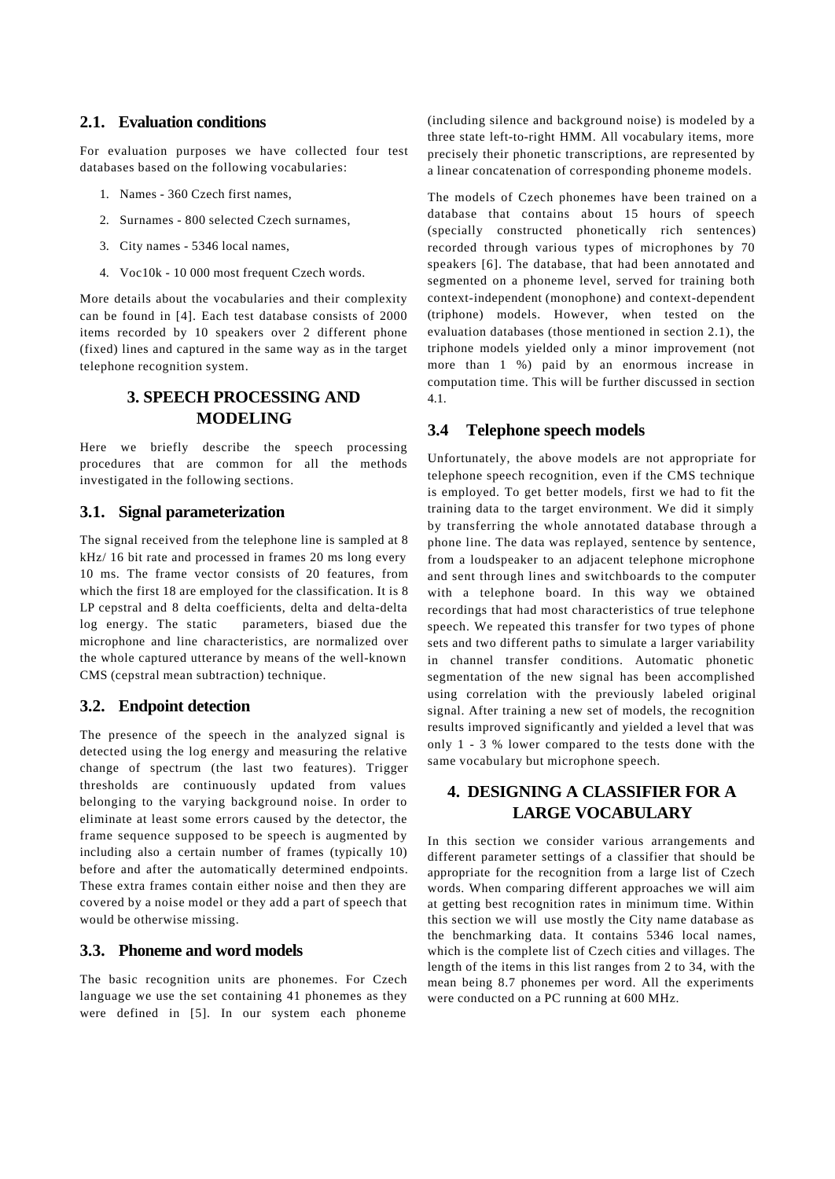#### **2.1. Evaluation conditions**

For evaluation purposes we have collected four test databases based on the following vocabularies:

- 1. Names 360 Czech first names,
- 2. Surnames 800 selected Czech surnames,
- 3. City names 5346 local names,
- 4. Voc10k 10 000 most frequent Czech words.

More details about the vocabularies and their complexity can be found in [4]. Each test database consists of 2000 items recorded by 10 speakers over 2 different phone (fixed) lines and captured in the same way as in the target telephone recognition system.

## **3. SPEECH PROCESSING AND MODELING**

Here we briefly describe the speech processing procedures that are common for all the methods investigated in the following sections.

### **3.1. Signal parameterization**

The signal received from the telephone line is sampled at 8 kHz/ 16 bit rate and processed in frames 20 ms long every 10 ms. The frame vector consists of 20 features, from which the first 18 are employed for the classification. It is 8 LP cepstral and 8 delta coefficients, delta and delta-delta log energy. The static parameters, biased due the microphone and line characteristics, are normalized over the whole captured utterance by means of the well-known CMS (cepstral mean subtraction) technique.

#### **3.2. Endpoint detection**

The presence of the speech in the analyzed signal is detected using the log energy and measuring the relative change of spectrum (the last two features). Trigger thresholds are continuously updated from values belonging to the varying background noise. In order to eliminate at least some errors caused by the detector, the frame sequence supposed to be speech is augmented by including also a certain number of frames (typically 10) before and after the automatically determined endpoints. These extra frames contain either noise and then they are covered by a noise model or they add a part of speech that would be otherwise missing.

#### **3.3. Phoneme and word models**

The basic recognition units are phonemes. For Czech language we use the set containing 41 phonemes as they were defined in [5]. In our system each phoneme

(including silence and background noise) is modeled by a three state left-to-right HMM. All vocabulary items, more precisely their phonetic transcriptions, are represented by a linear concatenation of corresponding phoneme models.

The models of Czech phonemes have been trained on a database that contains about 15 hours of speech (specially constructed phonetically rich sentences) recorded through various types of microphones by 70 speakers [6]. The database, that had been annotated and segmented on a phoneme level, served for training both context-independent (monophone) and context-dependent (triphone) models. However, when tested on the evaluation databases (those mentioned in section 2.1), the triphone models yielded only a minor improvement (not more than 1 %) paid by an enormous increase in computation time. This will be further discussed in section 4.1.

## **3.4 Telephone speech models**

Unfortunately, the above models are not appropriate for telephone speech recognition, even if the CMS technique is employed. To get better models, first we had to fit the training data to the target environment. We did it simply by transferring the whole annotated database through a phone line. The data was replayed, sentence by sentence, from a loudspeaker to an adjacent telephone microphone and sent through lines and switchboards to the computer with a telephone board. In this way we obtained recordings that had most characteristics of true telephone speech. We repeated this transfer for two types of phone sets and two different paths to simulate a larger variability in channel transfer conditions. Automatic phonetic segmentation of the new signal has been accomplished using correlation with the previously labeled original signal. After training a new set of models, the recognition results improved significantly and yielded a level that was only 1 - 3 % lower compared to the tests done with the same vocabulary but microphone speech.

## **4. DESIGNING A CLASSIFIER FOR A LARGE VOCABULARY**

In this section we consider various arrangements and different parameter settings of a classifier that should be appropriate for the recognition from a large list of Czech words. When comparing different approaches we will aim at getting best recognition rates in minimum time. Within this section we will use mostly the City name database as the benchmarking data. It contains 5346 local names, which is the complete list of Czech cities and villages. The length of the items in this list ranges from 2 to 34, with the mean being 8.7 phonemes per word. All the experiments were conducted on a PC running at 600 MHz.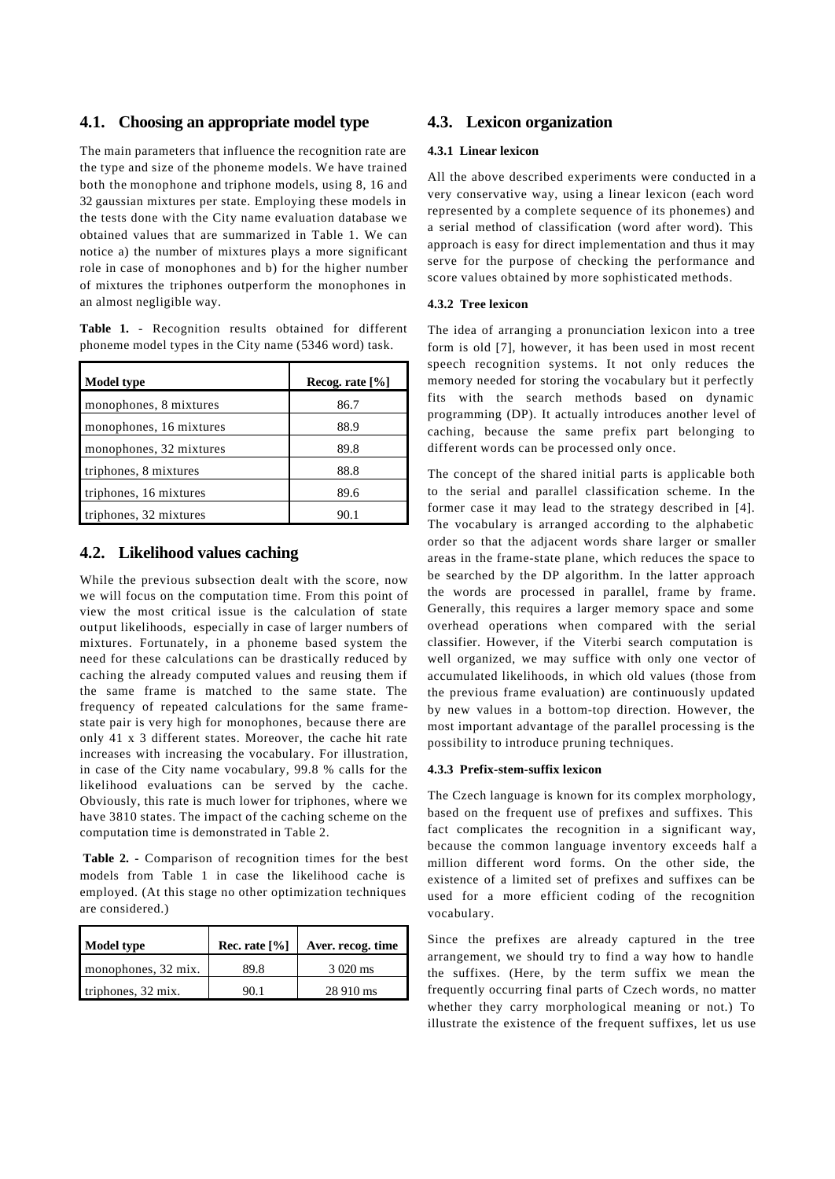#### **4.1. Choosing an appropriate model type**

The main parameters that influence the recognition rate are the type and size of the phoneme models. We have trained both the monophone and triphone models, using 8, 16 and 32 gaussian mixtures per state. Employing these models in the tests done with the City name evaluation database we obtained values that are summarized in Table 1. We can notice a) the number of mixtures plays a more significant role in case of monophones and b) for the higher number of mixtures the triphones outperform the monophones in an almost negligible way.

|  | <b>Table 1.</b> - Recognition results obtained for different |  |  |
|--|--------------------------------------------------------------|--|--|
|  | phoneme model types in the City name (5346 word) task.       |  |  |

| <b>Model type</b>       | Recog. rate $[\%]$ |
|-------------------------|--------------------|
| monophones, 8 mixtures  | 86.7               |
| monophones, 16 mixtures | 88.9               |
| monophones, 32 mixtures | 89.8               |
| triphones, 8 mixtures   | 88.8               |
| triphones, 16 mixtures  | 89.6               |
| triphones, 32 mixtures  | 90.1               |

## **4.2. Likelihood values caching**

While the previous subsection dealt with the score, now we will focus on the computation time. From this point of view the most critical issue is the calculation of state output likelihoods, especially in case of larger numbers of mixtures. Fortunately, in a phoneme based system the need for these calculations can be drastically reduced by caching the already computed values and reusing them if the same frame is matched to the same state. The frequency of repeated calculations for the same framestate pair is very high for monophones, because there are only 41 x 3 different states. Moreover, the cache hit rate increases with increasing the vocabulary. For illustration, in case of the City name vocabulary, 99.8 % calls for the likelihood evaluations can be served by the cache. Obviously, this rate is much lower for triphones, where we have 3810 states. The impact of the caching scheme on the computation time is demonstrated in Table 2.

**Table 2.** - Comparison of recognition times for the best models from Table 1 in case the likelihood cache is employed. (At this stage no other optimization techniques are considered.)

| <b>Model type</b>   | Rec. rate $[%]$ | Aver. recog. time |
|---------------------|-----------------|-------------------|
| monophones, 32 mix. | 89.8            | 3 020 ms          |
| triphones, 32 mix.  |                 | 28 910 ms         |

## **4.3. Lexicon organization**

#### **4.3.1 Linear lexicon**

All the above described experiments were conducted in a very conservative way, using a linear lexicon (each word represented by a complete sequence of its phonemes) and a serial method of classification (word after word). This approach is easy for direct implementation and thus it may serve for the purpose of checking the performance and score values obtained by more sophisticated methods.

#### **4.3.2 Tree lexicon**

The idea of arranging a pronunciation lexicon into a tree form is old [7], however, it has been used in most recent speech recognition systems. It not only reduces the memory needed for storing the vocabulary but it perfectly fits with the search methods based on dynamic programming (DP). It actually introduces another level of caching, because the same prefix part belonging to different words can be processed only once.

The concept of the shared initial parts is applicable both to the serial and parallel classification scheme. In the former case it may lead to the strategy described in [4]. The vocabulary is arranged according to the alphabetic order so that the adjacent words share larger or smaller areas in the frame-state plane, which reduces the space to be searched by the DP algorithm. In the latter approach the words are processed in parallel, frame by frame. Generally, this requires a larger memory space and some overhead operations when compared with the serial classifier. However, if the Viterbi search computation is well organized, we may suffice with only one vector of accumulated likelihoods, in which old values (those from the previous frame evaluation) are continuously updated by new values in a bottom-top direction. However, the most important advantage of the parallel processing is the possibility to introduce pruning techniques.

#### **4.3.3 Prefix-stem-suffix lexicon**

The Czech language is known for its complex morphology, based on the frequent use of prefixes and suffixes. This fact complicates the recognition in a significant way, because the common language inventory exceeds half a million different word forms. On the other side, the existence of a limited set of prefixes and suffixes can be used for a more efficient coding of the recognition vocabulary.

Since the prefixes are already captured in the tree arrangement, we should try to find a way how to handle the suffixes. (Here, by the term suffix we mean the frequently occurring final parts of Czech words, no matter whether they carry morphological meaning or not.) To illustrate the existence of the frequent suffixes, let us use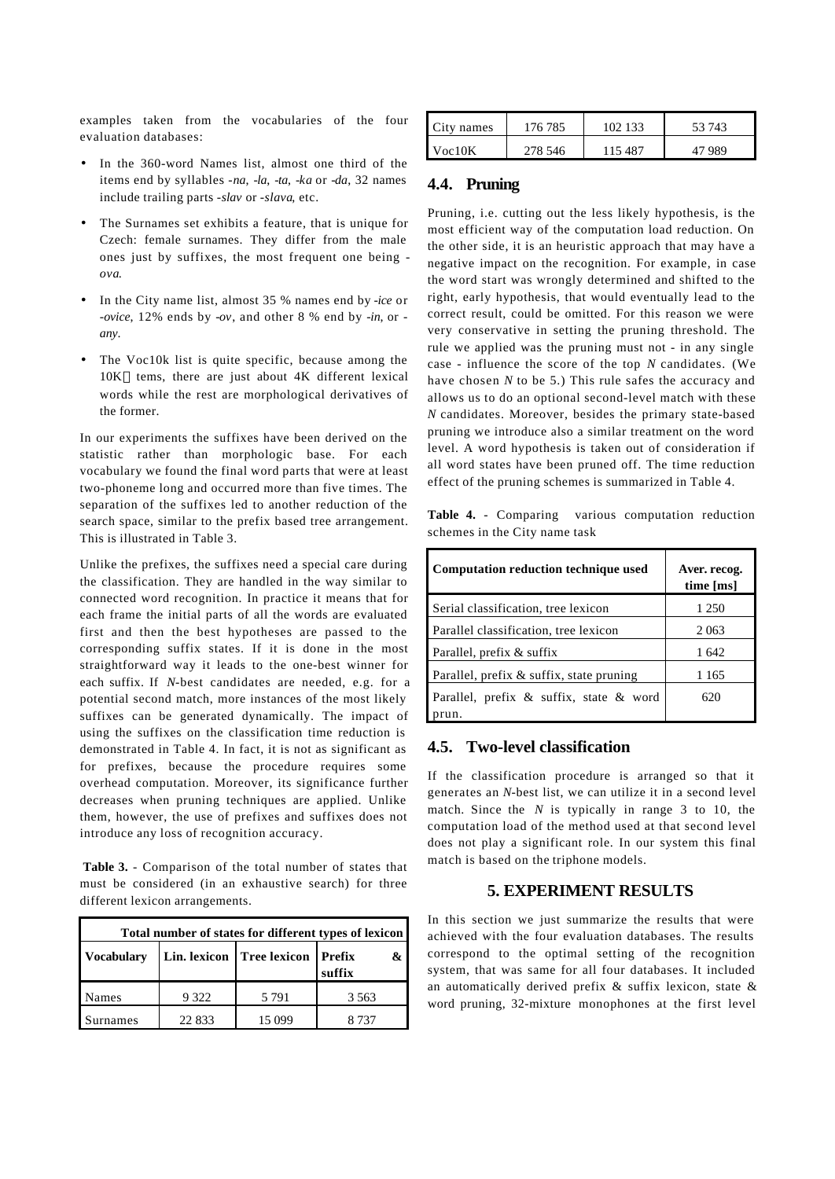examples taken from the vocabularies of the four evaluation databases:

- In the 360-word Names list, almost one third of the items end by syllables -*na*, -*la*, -*ta*, -*ka* or -*da*, 32 names include trailing parts -*slav* or -*slava*, etc.
- The Surnames set exhibits a feature, that is unique for Czech: female surnames. They differ from the male ones just by suffixes, the most frequent one being *ova*.
- In the City name list, almost 35 % names end by *-ice* or *-ovice*, 12% ends by -*ov*, and other 8 % end by *-in*, or  *any*.
- The Voc10k list is quite specific, because among the 10K tems, there are just about 4K different lexical words while the rest are morphological derivatives of the former.

In our experiments the suffixes have been derived on the statistic rather than morphologic base. For each vocabulary we found the final word parts that were at least two-phoneme long and occurred more than five times. The separation of the suffixes led to another reduction of the search space, similar to the prefix based tree arrangement. This is illustrated in Table 3.

Unlike the prefixes, the suffixes need a special care during the classification. They are handled in the way similar to connected word recognition. In practice it means that for each frame the initial parts of all the words are evaluated first and then the best hypotheses are passed to the corresponding suffix states. If it is done in the most straightforward way it leads to the one-best winner for each suffix. If *N*-best candidates are needed, e.g. for a potential second match, more instances of the most likely suffixes can be generated dynamically. The impact of using the suffixes on the classification time reduction is demonstrated in Table 4. In fact, it is not as significant as for prefixes, because the procedure requires some overhead computation. Moreover, its significance further decreases when pruning techniques are applied. Unlike them, however, the use of prefixes and suffixes does not introduce any loss of recognition accuracy.

**Table 3.** - Comparison of the total number of states that must be considered (in an exhaustive search) for three different lexicon arrangements.

| Total number of states for different types of lexicon |         |                                      |             |  |  |
|-------------------------------------------------------|---------|--------------------------------------|-------------|--|--|
| <b>Vocabulary</b>                                     |         | Lin. lexicon   Tree lexicon   Prefix | &<br>suffix |  |  |
| Names                                                 | 9 3 2 2 | 5 7 9 1                              | 3 5 6 3     |  |  |
| urnames                                               | 22 833  | 15 099                               | 8 737       |  |  |

| City names | 176 785 | 102.133 | 53 743 |
|------------|---------|---------|--------|
| Voc10K     | 278 546 | 15487   | 47 989 |

### **4.4. Pruning**

Pruning, i.e. cutting out the less likely hypothesis, is the most efficient way of the computation load reduction. On the other side, it is an heuristic approach that may have a negative impact on the recognition. For example, in case the word start was wrongly determined and shifted to the right, early hypothesis, that would eventually lead to the correct result, could be omitted. For this reason we were very conservative in setting the pruning threshold. The rule we applied was the pruning must not - in any single case - influence the score of the top *N* candidates. (We have chosen *N* to be 5.) This rule safes the accuracy and allows us to do an optional second-level match with these *N* candidates. Moreover, besides the primary state-based pruning we introduce also a similar treatment on the word level. A word hypothesis is taken out of consideration if all word states have been pruned off. The time reduction effect of the pruning schemes is summarized in Table 4.

**Table 4.** - Comparing various computation reduction schemes in the City name task

| Computation reduction technique used     | Aver. recog.<br>time [ms] |
|------------------------------------------|---------------------------|
| Serial classification, tree lexicon      | 1 250                     |
| Parallel classification, tree lexicon    | 2063                      |
| Parallel, prefix & suffix                | 1642                      |
| Parallel, prefix & suffix, state pruning | 1 1 6 5                   |
| Parallel, prefix & suffix, state & word  | 620                       |

### **4.5. Two-level classification**

If the classification procedure is arranged so that it generates an *N*-best list, we can utilize it in a second level match. Since the *N* is typically in range 3 to 10, the computation load of the method used at that second level does not play a significant role. In our system this final match is based on the triphone models.

## **5. EXPERIMENT RESULTS**

In this section we just summarize the results that were achieved with the four evaluation databases. The results correspond to the optimal setting of the recognition system, that was same for all four databases. It included an automatically derived prefix & suffix lexicon, state & word pruning, 32-mixture monophones at the first level